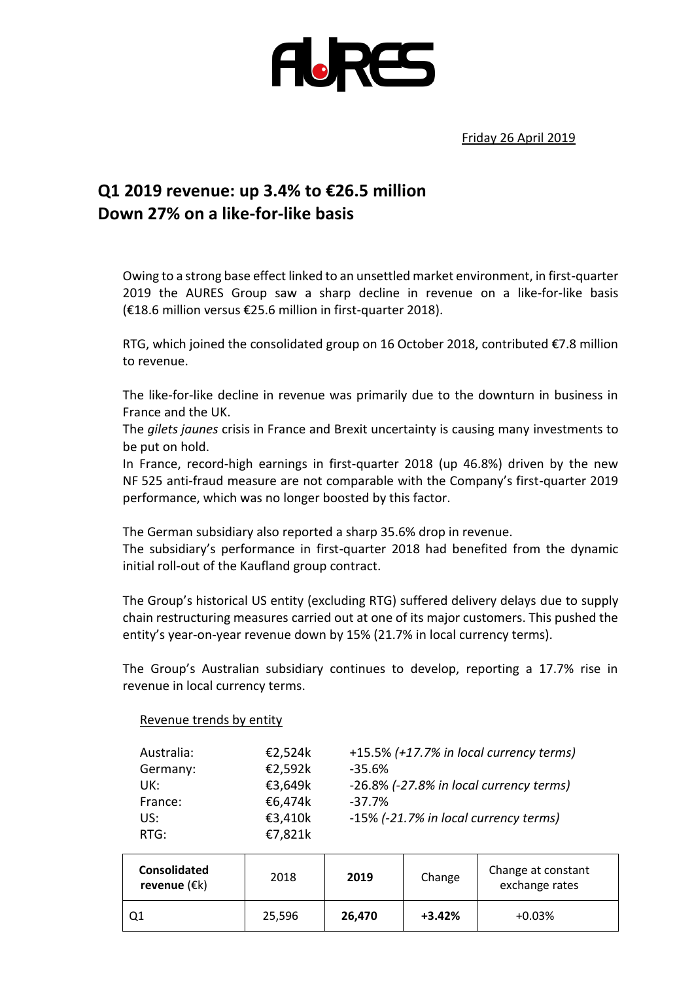

Friday 26 April 2019

## **Q1 2019 revenue: up 3.4% to €26.5 million Down 27% on a like-for-like basis**

Owing to a strong base effect linked to an unsettled market environment, in first-quarter 2019 the AURES Group saw a sharp decline in revenue on a like-for-like basis (€18.6 million versus €25.6 million in first-quarter 2018).

RTG, which joined the consolidated group on 16 October 2018, contributed €7.8 million to revenue.

The like-for-like decline in revenue was primarily due to the downturn in business in France and the UK.

The *gilets jaunes* crisis in France and Brexit uncertainty is causing many investments to be put on hold.

In France, record-high earnings in first-quarter 2018 (up 46.8%) driven by the new NF 525 anti-fraud measure are not comparable with the Company's first-quarter 2019 performance, which was no longer boosted by this factor.

The German subsidiary also reported a sharp 35.6% drop in revenue.

Revenue trends by entity

The subsidiary's performance in first-quarter 2018 had benefited from the dynamic initial roll-out of the Kaufland group contract.

The Group's historical US entity (excluding RTG) suffered delivery delays due to supply chain restructuring measures carried out at one of its major customers. This pushed the entity's year-on-year revenue down by 15% (21.7% in local currency terms).

The Group's Australian subsidiary continues to develop, reporting a 17.7% rise in revenue in local currency terms.

| Australia:<br>Germany: | €2,524k<br>€2,592k | +15.5% (+17.7% in local currency terms)<br>$-35.6%$ |
|------------------------|--------------------|-----------------------------------------------------|
| UK:                    | €3,649k            | -26.8% (-27.8% in local currency terms)             |
| France:                | €6,474k            | $-37.7\%$                                           |
| US:                    | €3,410k            | -15% (-21.7% in local currency terms)               |
| RTG:                   | €7,821k            |                                                     |

| <b>Consolidated</b><br>revenue $(\epsilon k)$ | 2018   | 2019   | Change   | Change at constant<br>exchange rates |
|-----------------------------------------------|--------|--------|----------|--------------------------------------|
| Q1                                            | 25,596 | 26,470 | $+3.42%$ | $+0.03%$                             |